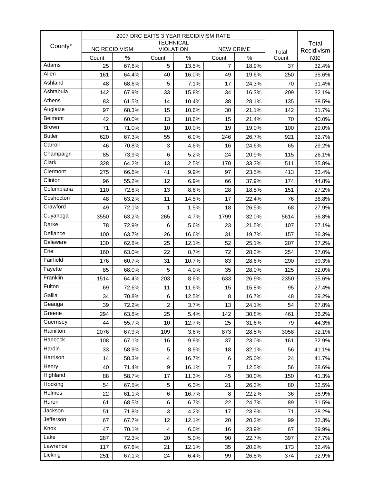|                              | 2007 DRC EXITS 3 YEAR RECIDIVISM RATE |               |                  |               |                         |               |             |                     |
|------------------------------|---------------------------------------|---------------|------------------|---------------|-------------------------|---------------|-------------|---------------------|
| County*                      |                                       |               | <b>TECHNICAL</b> |               |                         |               | Total       | Total<br>Recidivism |
|                              | NO RECIDIVISM                         |               | <b>VIOLATION</b> |               | <b>NEW CRIME</b>        |               |             |                     |
| Adams                        | Count<br>25                           | $\%$<br>67.6% | Count<br>5       | $\%$<br>13.5% | Count<br>$\overline{7}$ | $\%$<br>18.9% | Count<br>37 | rate<br>32.4%       |
| Allen                        |                                       |               |                  |               |                         |               |             |                     |
| Ashland                      | 161                                   | 64.4%         | 40               | 16.0%         | 49                      | 19.6%         | 250         | 35.6%               |
| Ashtabula                    | 48                                    | 68.6%         | 5                | 7.1%<br>15.8% | 17                      | 24.3%         | 70          | 31.4%               |
| Athens                       | 142                                   | 67.9%         | 33               |               | 34                      | 16.3%         | 209         | 32.1%               |
| Auglaize                     | 83                                    | 61.5%         | 14               | 10.4%         | 38                      | 28.1%         | 135         | 38.5%               |
| Belmont                      | 97                                    | 68.3%         | 15               | 10.6%         | 30                      | 21.1%         | 142         | 31.7%               |
| <b>Brown</b>                 | 42                                    | 60.0%         | 13               | 18.6%         | 15                      | 21.4%         | 70          | 40.0%               |
| <b>Butler</b>                | 71                                    | 71.0%         | 10               | 10.0%         | 19                      | 19.0%         | 100         | 29.0%               |
| Carroll                      | 620                                   | 67.3%         | 55               | 6.0%          | 246                     | 26.7%         | 921         | 32.7%               |
| Champaign                    | 46                                    | 70.8%         | 3                | 4.6%          | 16                      | 24.6%         | 65          | 29.2%               |
| Clark                        | 85                                    | 73.9%         | 6                | 5.2%          | 24                      | 20.9%         | 115         | 26.1%               |
| Clermont                     | 328                                   | 64.2%         | 13               | 2.5%          | 170                     | 33.3%         | 511         | 35.8%               |
| $\overline{\text{C}}$ linton | 275                                   | 66.6%         | 41               | 9.9%          | 97                      | 23.5%         | 413         | 33.4%               |
| Columbiana                   | 96                                    | 55.2%         | 12               | 6.9%          | 66                      | 37.9%         | 174         | 44.8%               |
| Coshocton                    | 110                                   | 72.8%         | 13               | 8.6%          | 28                      | 18.5%         | 151         | 27.2%               |
| Crawford                     | 48                                    | 63.2%         | 11               | 14.5%         | 17                      | 22.4%         | 76          | 36.8%               |
| Cuyahoga                     | 49                                    | 72.1%         | 1                | 1.5%          | 18                      | 26.5%         | 68          | 27.9%               |
| <b>Darke</b>                 | 3550                                  | 63.2%         | 265              | 4.7%          | 1799                    | 32.0%         | 5614        | 36.8%               |
| Defiance                     | 78                                    | 72.9%         | 6                | 5.6%          | 23                      | 21.5%         | 107         | 27.1%               |
| Delaware                     | 100                                   | 63.7%         | 26               | 16.6%         | 31                      | 19.7%         | 157         | 36.3%               |
|                              | 130                                   | 62.8%         | 25               | 12.1%         | 52                      | 25.1%         | 207         | 37.2%               |
| Erie<br>Fairfield            | 160                                   | 63.0%         | 22               | 8.7%          | 72                      | 28.3%         | 254         | 37.0%               |
|                              | 176                                   | 60.7%         | 31               | 10.7%         | 83                      | 28.6%         | 290         | 39.3%               |
| Fayette<br>Franklin          | 85                                    | 68.0%         | 5                | 4.0%          | 35                      | 28.0%         | 125         | 32.0%               |
|                              | 1514                                  | 64.4%         | 203              | 8.6%          | 633                     | 26.9%         | 2350        | 35.6%               |
| Fulton<br>Gallia             | 69                                    | 72.6%         | 11               | 11.6%         | 15                      | 15.8%         | 95          | 27.4%               |
|                              | 34                                    | 70.8%         | 6                | 12.5%         | 8                       | 16.7%         | 48          | 29.2%               |
| Geauga                       | 39                                    | 72.2%         | $\overline{c}$   | 3.7%          | 13                      | 24.1%         | 54          | 27.8%               |
| Greene                       | 294                                   | 63.8%         | 25               | 5.4%          | 142                     | 30.8%         | 461         | 36.2%               |
| Guernsey<br>Hamilton         | 44                                    | 55.7%         | 10               | 12.7%         | 25                      | 31.6%         | 79          | 44.3%               |
|                              | 2076                                  | 67.9%         | 109              | 3.6%          | 873                     | 28.5%         | 3058        | 32.1%               |
| Hancock                      | 108                                   | 67.1%         | 16               | 9.9%          | 37                      | 23.0%         | 161         | 32.9%               |
| Hardin                       | 33                                    | 58.9%         | 5                | 8.9%          | 18                      | 32.1%         | 56          | 41.1%               |
| Harrison                     | 14                                    | 58.3%         | $\overline{4}$   | 16.7%         | 6                       | 25.0%         | 24          | 41.7%               |
| Henry                        | 40                                    | 71.4%         | 9                | 16.1%         | $\overline{7}$          | 12.5%         | 56          | 28.6%               |
| Highland                     | 88                                    | 58.7%         | 17               | 11.3%         | 45                      | 30.0%         | 150         | 41.3%               |
| Hocking                      | 54                                    | 67.5%         | 5                | 6.3%          | 21                      | 26.3%         | 80          | 32.5%               |
| Holmes                       | 22                                    | 61.1%         | 6                | 16.7%         | 8                       | 22.2%         | 36          | 38.9%               |
| Huron                        | 61                                    | 68.5%         | 6                | 6.7%          | 22                      | 24.7%         | 89          | 31.5%               |
| Jackson                      | 51                                    | 71.8%         | 3                | 4.2%          | 17                      | 23.9%         | 71          | 28.2%               |
| Jefferson                    | 67                                    | 67.7%         | 12               | 12.1%         | 20                      | 20.2%         | 99          | 32.3%               |
| Knox                         | 47                                    | 70.1%         | 4                | 6.0%          | 16                      | 23.9%         | 67          | 29.9%               |
| Lake                         | 287                                   | 72.3%         | 20               | 5.0%          | 90                      | 22.7%         | 397         | 27.7%               |
| Lawrence                     | 117                                   | 67.6%         | 21               | 12.1%         | 35                      | 20.2%         | 173         | 32.4%               |
| Licking                      | 251                                   | 67.1%         | 24               | 6.4%          | 99                      | 26.5%         | 374         | 32.9%               |